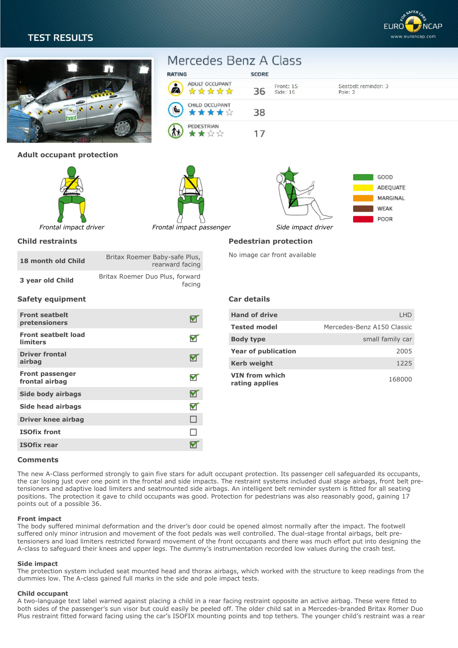# **TEST RESULTS**





## **Adult occupant protection**





RATING

Á



Seatbelt reminder: 3

Pole: 2

**Child restraints**

| 18 month old Child | Britax Roemer Baby-safe Plus,<br>rearward facing |
|--------------------|--------------------------------------------------|
| 3 year old Child   | Britax Roemer Duo Plus, forward<br>facing        |

# **Pedestrian protection**

No image car front available

### **Safety equipment**

| <b>Front seatbelt</b><br>pretensioners        |   |
|-----------------------------------------------|---|
| <b>Front seatbelt load</b><br><b>limiters</b> |   |
| <b>Driver frontal</b><br>airbag               |   |
| <b>Front passenger</b><br>frontal airbag      |   |
| <b>Side body airbags</b>                      |   |
| Side head airbags                             | V |
| <b>Driver knee airbag</b>                     | ⊔ |
| <b>ISOfix front</b>                           |   |
| <b>ISOfix rear</b>                            |   |

# **Car details**

Mercedes Benz A Class

ADULT OCCUPANT

☆☆☆☆☆

CHILD OCCUPANT

★★★★☆

PEDESTRIAN

★★☆☆

SCORE

36

38

 $17$ 

Front: 15

Side: 16

| <b>Hand of drive</b>             | I HD                       |
|----------------------------------|----------------------------|
| <b>Tested model</b>              | Mercedes-Benz A150 Classic |
| <b>Body type</b>                 | small family car           |
| <b>Year of publication</b>       | 2005                       |
| <b>Kerb weight</b>               | 1225                       |
| VIN from which<br>rating applies | 168000                     |

#### **Comments**

The new A-Class performed strongly to gain five stars for adult occupant protection. Its passenger cell safeguarded its occupants, the car losing just over one point in the frontal and side impacts. The restraint systems included dual stage airbags, front belt pretensioners and adaptive load limiters and seatmounted side airbags. An intelligent belt reminder system is fitted for all seating positions. The protection it gave to child occupants was good. Protection for pedestrians was also reasonably good, gaining 17 points out of a possible 36.

#### **Front impact**

The body suffered minimal deformation and the driver's door could be opened almost normally after the impact. The footwell suffered only minor intrusion and movement of the foot pedals was well controlled. The dual-stage frontal airbags, belt pretensioners and load limiters restricted forward movement of the front occupants and there was much effort put into designing the A-class to safeguard their knees and upper legs. The dummy's instrumentation recorded low values during the crash test.

#### **Side impact**

The protection system included seat mounted head and thorax airbags, which worked with the structure to keep readings from the dummies low. The A-class gained full marks in the side and pole impact tests.

#### **Child occupant**

A two-language text label warned against placing a child in a rear facing restraint opposite an active airbag. These were fitted to both sides of the passenger's sun visor but could easily be peeled off. The older child sat in a Mercedes-branded Britax Romer Duo Plus restraint fitted forward facing using the car's ISOFIX mounting points and top tethers. The younger child's restraint was a rear